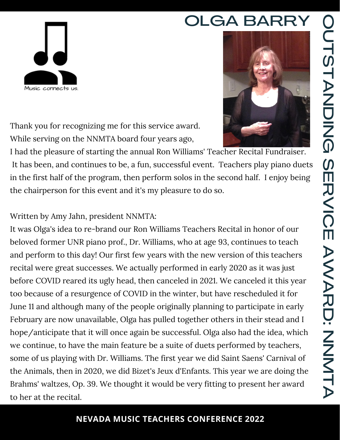### O  $\subset$  $\exists$  $\mathbf{\Omega}$  $\exists$ A  $\mathsf{Z}% _{M_{1},M_{2}}^{\alpha,\beta}(\mathbb{R}^{N})$ D<br>Z  $\bf \Omega$  $\mathcal D$  $\blacksquare$  $\overline{\mathcal{L}}$  $\leq$  $\blacksquare$ A W A  $\overline{\mathcal{L}}$ D:  $\mathsf{Z}_{\scriptscriptstyle\perp}$  $\mathsf{Z}$ **Z**  $\equiv$ A

# OLGA BARRY





Thank you for recognizing me for this service award. While serving on the NNMTA board four years ago,

I had the pleasure of starting the annual Ron Williams' Teacher Recital Fundraiser. It has been, and continues to be, a fun, successful event. Teachers play piano duets in the first half of the program, then perform solos in the second half. I enjoy being the chairperson for this event and it's my pleasure to do so.

#### Written by Amy Jahn, president NNMTA:

It was Olga's idea to re-brand our Ron Williams Teachers Recital in honor of our beloved former UNR piano prof., Dr. Williams, who at age 93, continues to teach and perform to this day! Our first few years with the new version of this teachers recital were great successes. We actually performed in early 2020 as it was just before COVID reared its ugly head, then canceled in 2021. We canceled it this year too because of a resurgence of COVID in the winter, but have rescheduled it for June 11 and although many of the people originally planning to participate in early February are now unavailable, Olga has pulled together others in their stead and I hope/anticipate that it will once again be successful. Olga also had the idea, which we continue, to have the main feature be a suite of duets performed by teachers, some of us playing with Dr. Williams. The first year we did Saint Saens' Carnival of the Animals, then in 2020, we did Bizet's Jeux d'Enfants. This year we are doing the Brahms' waltzes, Op. 39. We thought it would be very fitting to present her award to her at the recital.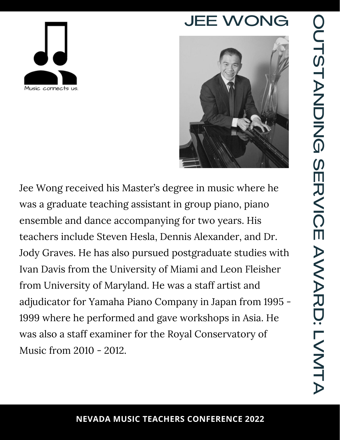





Jee Wong received his Master's degree in music where he was a graduate teaching assistant in group piano, piano ensemble and dance accompanying for two years. His teachers include Steven Hesla, Dennis Alexander, and Dr. Jody Graves. He has also pursued postgraduate studies with Ivan Davis from the University of Miami and Leon Fleisher from University of Maryland. He was a staff artist and adjudicator for Yamaha Piano Company in Japan from 1995 - 1999 where he performed and gave workshops in Asia. He was also a staff examiner for the Royal Conservatory of Music from 2010 - 2012.